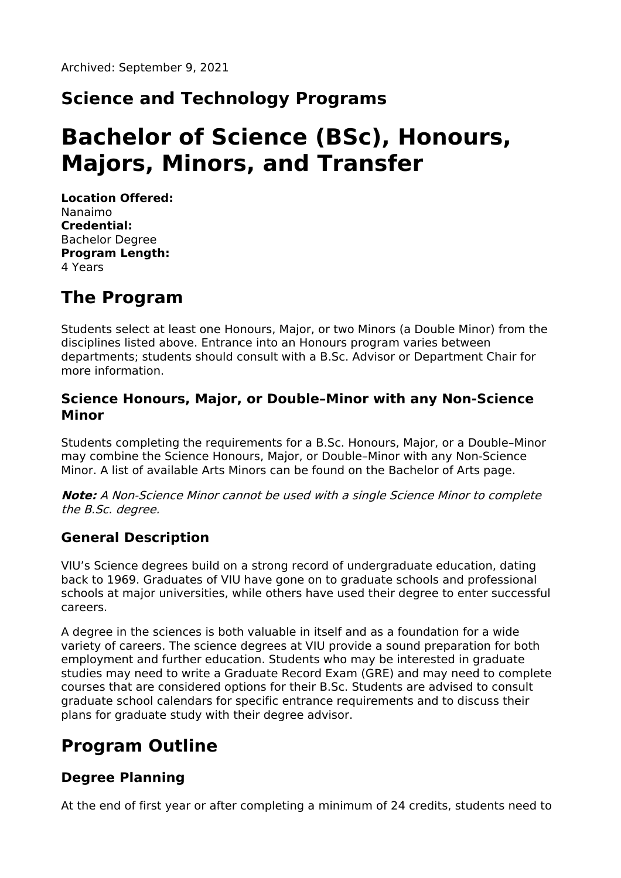# **Science and Technology Programs**

# **Bachelor of Science (BSc), Honours, Majors, Minors, and Transfer**

**Location Offered:** Nanaimo **Credential:** Bachelor Degree **Program Length:** 4 Years

# **The Program**

Students select at least one Honours, Major, or two Minors (a Double Minor) from the disciplines listed above. Entrance into an Honours program varies between departments; students should consult with a B.Sc. Advisor or Department Chair for more information.

#### **Science Honours, Major, or Double–Minor with any Non-Science Minor**

Students completing the requirements for a B.Sc. Honours, Major, or a Double–Minor may combine the Science Honours, Major, or Double–Minor with any Non-Science Minor. A list of available Arts Minors can be found on the Bachelor of Arts page.

**Note:** A Non-Science Minor cannot be used with <sup>a</sup> single Science Minor to complete the B.Sc. degree.

#### **General Description**

VIU's Science degrees build on a strong record of undergraduate education, dating back to 1969. Graduates of VIU have gone on to graduate schools and professional schools at major universities, while others have used their degree to enter successful careers.

A degree in the sciences is both valuable in itself and as a foundation for a wide variety of careers. The science degrees at VIU provide a sound preparation for both employment and further education. Students who may be interested in graduate studies may need to write a Graduate Record Exam (GRE) and may need to complete courses that are considered options for their B.Sc. Students are advised to consult graduate school calendars for specific entrance requirements and to discuss their plans for graduate study with their degree advisor.

# **Program Outline**

#### **Degree Planning**

At the end of first year or after completing a minimum of 24 credits, students need to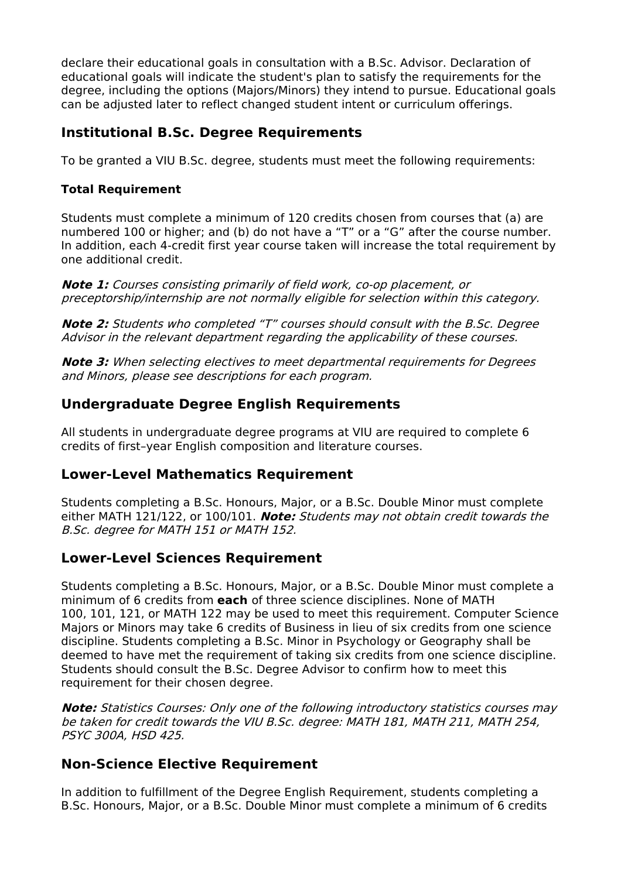declare their educational goals in consultation with a B.Sc. Advisor. Declaration of educational goals will indicate the student's plan to satisfy the requirements for the degree, including the options (Majors/Minors) they intend to pursue. Educational goals can be adjusted later to reflect changed student intent or curriculum offerings.

#### **Institutional B.Sc. Degree Requirements**

To be granted a VIU B.Sc. degree, students must meet the following requirements:

#### **Total Requirement**

Students must complete a minimum of 120 credits chosen from courses that (a) are numbered 100 or higher; and (b) do not have a "T" or a "G" after the course number. In addition, each 4-credit first year course taken will increase the total requirement by one additional credit.

**Note 1:** Courses consisting primarily of field work, co-op placement, or preceptorship/internship are not normally eligible for selection within this category.

**Note 2:** Students who completed "T" courses should consult with the B.Sc. Degree Advisor in the relevant department regarding the applicability of these courses.

**Note 3:** When selecting electives to meet departmental requirements for Degrees and Minors, please see descriptions for each program.

#### **Undergraduate Degree English Requirements**

All students in undergraduate degree programs at VIU are required to complete 6 credits of first–year English composition and literature courses.

#### **Lower-Level Mathematics Requirement**

Students completing a B.Sc. Honours, Major, or a B.Sc. Double Minor must complete either MATH 121/122, or 100/101. **Note:** Students may not obtain credit towards the B.Sc. degree for MATH 151 or MATH 152.

#### **Lower-Level Sciences Requirement**

Students completing a B.Sc. Honours, Major, or a B.Sc. Double Minor must complete a minimum of 6 credits from **each** of three science disciplines. None of MATH 100, 101, 121, or MATH 122 may be used to meet this requirement. Computer Science Majors or Minors may take 6 credits of Business in lieu of six credits from one science discipline. Students completing a B.Sc. Minor in Psychology or Geography shall be deemed to have met the requirement of taking six credits from one science discipline. Students should consult the B.Sc. Degree Advisor to confirm how to meet this requirement for their chosen degree.

**Note:** Statistics Courses: Only one of the following introductory statistics courses may be taken for credit towards the VIU B.Sc. degree: MATH 181, MATH 211, MATH 254, PSYC 300A, HSD 425.

#### **Non-Science Elective Requirement**

In addition to fulfillment of the Degree English Requirement, students completing a B.Sc. Honours, Major, or a B.Sc. Double Minor must complete a minimum of 6 credits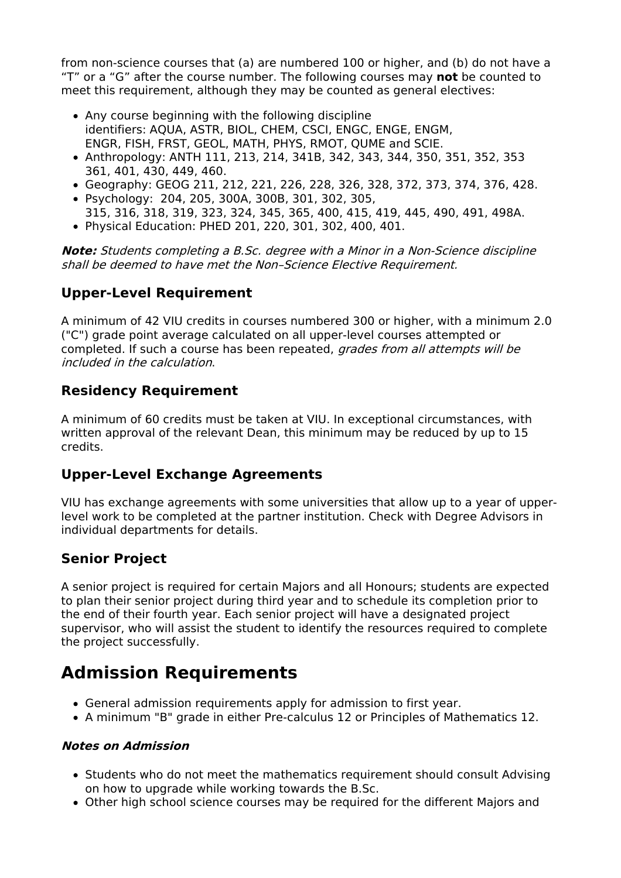from non-science courses that (a) are numbered 100 or higher, and (b) do not have a "T" or a "G" after the course number. The following courses may **not** be counted to meet this requirement, although they may be counted as general electives:

- Any course beginning with the following discipline identifiers: AQUA, ASTR, BIOL, CHEM, CSCI, ENGC, ENGE, ENGM, ENGR, FISH, FRST, GEOL, MATH, PHYS, RMOT, QUME and SCIE.
- Anthropology: ANTH 111, 213, 214, 341B, 342, 343, 344, 350, 351, 352, 353 361, 401, 430, 449, 460.
- Geography: GEOG 211, 212, 221, 226, 228, 326, 328, 372, 373, 374, 376, 428. Psychology: 204, 205, 300A, 300B, 301, 302, 305,
- 315, 316, 318, 319, 323, 324, 345, 365, 400, 415, 419, 445, 490, 491, 498A.
- Physical Education: PHED 201, 220, 301, 302, 400, 401.

**Note:** Students completing <sup>a</sup> B.Sc. degree with <sup>a</sup> Minor in <sup>a</sup> Non-Science discipline shall be deemed to have met the Non–Science Elective Requirement.

### **Upper-Level Requirement**

A minimum of 42 VIU credits in courses numbered 300 or higher, with a minimum 2.0 ("C") grade point average calculated on all upper-level courses attempted or completed. If such a course has been repeated, grades from all attempts will be included in the calculation.

### **Residency Requirement**

A minimum of 60 credits must be taken at VIU. In exceptional circumstances, with written approval of the relevant Dean, this minimum may be reduced by up to 15 credits.

### **Upper-Level Exchange Agreements**

VIU has exchange agreements with some universities that allow up to a year of upperlevel work to be completed at the partner institution. Check with Degree Advisors in individual departments for details.

### **Senior Project**

A senior project is required for certain Majors and all Honours; students are expected to plan their senior project during third year and to schedule its completion prior to the end of their fourth year. Each senior project will have a designated project supervisor, who will assist the student to identify the resources required to complete the project successfully.

# **Admission Requirements**

- General admission requirements apply for admission to first year.
- A minimum "B" grade in either Pre-calculus 12 or Principles of Mathematics 12.

#### **Notes on Admission**

- Students who do not meet the mathematics requirement should consult Advising on how to upgrade while working towards the B.Sc.
- Other high school science courses may be required for the different Majors and